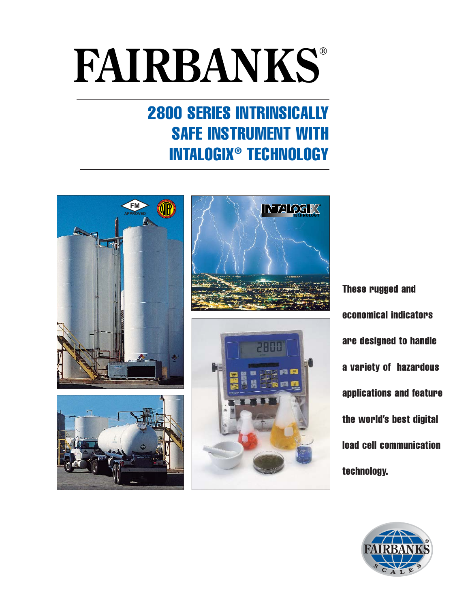## **FAIRBANKS®**

### 2800 SERIES INTRINSICALLY SAFE INSTRUMENT WITH INTALOGIX® TECHNOLOGY







These rugged and economical indicators are designed to handle a variety of hazardous applications and feature the world's best digital load cell communication technology.

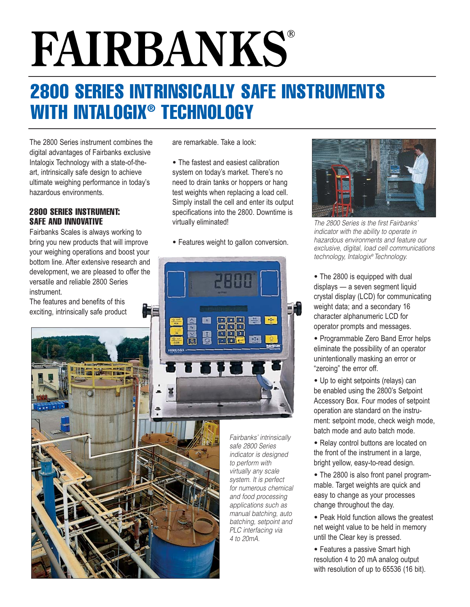# **FAIRBANKS®**

## 2800 SERIES INTRINSICALLY SAFE INSTRUMENTS WITH INTALOGIX® TECHNOLOGY

The 2800 Series instrument combines the digital advantages of Fairbanks exclusive Intalogix Technology with a state-of-theart, intrinsically safe design to achieve ultimate weighing performance in today's hazardous environments.

#### 2800 SERIES INSTRUMENT: SAFE AND INNOVATIVE

Fairbanks Scales is always working to bring you new products that will improve your weighing operations and boost your bottom line. After extensive research and development, we are pleased to offer the versatile and reliable 2800 Series

The features and benefits of this exciting, intrinsically safe product are remarkable. Take a look:

• The fastest and easiest calibration system on today's market. There's no need to drain tanks or hoppers or hang test weights when replacing a load cell. Simply install the cell and enter its output specifications into the 2800. Downtime is virtually eliminated!

• Features weight to gallon conversion.





The 2800 Series is the first Fairbanks' indicator with the ability to operate in hazardous environments and feature our exclusive, digital, load cell communications technology, Intalogix® Technology.

- The 2800 is equipped with dual displays — a seven segment liquid crystal display (LCD) for communicating weight data; and a secondary 16 character alphanumeric LCD for operator prompts and messages.
- Programmable Zero Band Error helps eliminate the possibility of an operator unintentionally masking an error or "zeroing" the error off.
- Up to eight setpoints (relays) can be enabled using the 2800's Setpoint Accessory Box. Four modes of setpoint operation are standard on the instrument: setpoint mode, check weigh mode, batch mode and auto batch mode.
- Relay control buttons are located on the front of the instrument in a large, bright yellow, easy-to-read design.
- The 2800 is also front panel programmable. Target weights are quick and easy to change as your processes change throughout the day.
- Peak Hold function allows the greatest net weight value to be held in memory until the Clear key is pressed.
- Features a passive Smart high resolution 4 to 20 mA analog output with resolution of up to 65536 (16 bit).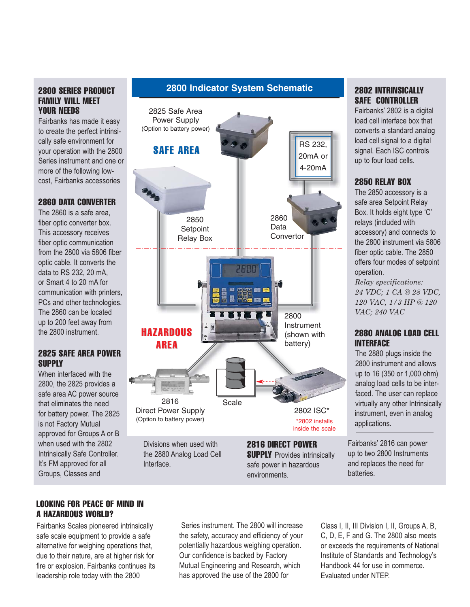#### 2800 SERIES PRODUCT FAMILY WILL MEET YOUR NEEDS

Fairbanks has made it easy to create the perfect intrinsically safe environment for your operation with the 2800 Series instrument and one or more of the following lowcost, Fairbanks accessories

#### 2860 DATA CONVERTER

The 2860 is a safe area, fiber optic converter box. This accessory receives fiber optic communication from the 2800 via 5806 fiber optic cable. It converts the data to RS 232, 20 mA, or Smart 4 to 20 mA for communication with printers, PCs and other technologies. The 2860 can be located up to 200 feet away from the 2800 instrument.

#### 2825 SAFE AREA POWER **SUPPLY**

When interfaced with the 2800, the 2825 provides a safe area AC power source that eliminates the need for battery power. The 2825 is not Factory Mutual approved for Groups A or B when used with the 2802 Intrinsically Safe Controller. It's FM approved for all Groups, Classes and

#### **2800 Indicator System Schematic**



#### 2802 INTRINSICALLY SAFE CONTROLLER

Fairbanks' 2802 is a digital load cell interface box that converts a standard analog load cell signal to a digital signal. Each ISC controls up to four load cells.

#### 2850 RELAY BOX

The 2850 accessory is a safe area Setpoint Relay Box. It holds eight type 'C' relays (included with accessory) and connects to the 2800 instrument via 5806 fiber optic cable. The 2850 offers four modes of setpoint operation.

*Relay specifications: 24 VDC; 1 CA @ 28 VDC, 120 VAC, 1/3 HP @ 120 VAC; 240 VAC*

#### 2880 ANALOG LOAD CELL INTERFACE

The 2880 plugs inside the 2800 instrument and allows up to 16 (350 or 1,000 ohm) analog load cells to be interfaced. The user can replace virtually any other Intrinsically instrument, even in analog applications.

Fairbanks' 2816 can power up to two 2800 Instruments and replaces the need for batteries.

#### LOOKING FOR PEACE OF MIND IN A HAZARDOUS WORLD?

Fairbanks Scales pioneered intrinsically safe scale equipment to provide a safe alternative for weighing operations that, due to their nature, are at higher risk for fire or explosion. Fairbanks continues its leadership role today with the 2800

Series instrument. The 2800 will increase the safety, accuracy and efficiency of your potentially hazardous weighing operation. Our confidence is backed by Factory Mutual Engineering and Research, which has approved the use of the 2800 for

environments.

Class I, II, III Division I, II, Groups A, B, C, D, E, F and G. The 2800 also meets or exceeds the requirements of National Institute of Standards and Technology's Handbook 44 for use in commerce. Evaluated under NTEP.